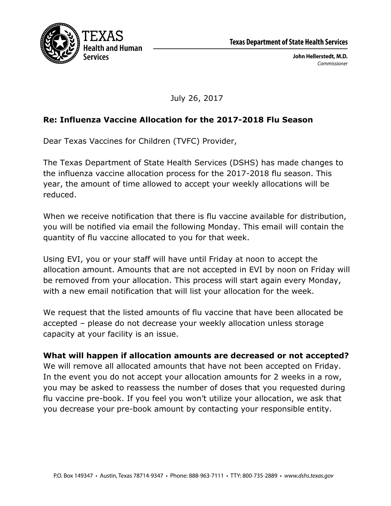

July 26, 2017

## **Re: Influenza Vaccine Allocation for the 2017-2018 Flu Season**

Dear Texas Vaccines for Children (TVFC) Provider,

The Texas Department of State Health Services (DSHS) has made changes to the influenza vaccine allocation process for the 2017-2018 flu season. This year, the amount of time allowed to accept your weekly allocations will be reduced.

When we receive notification that there is flu vaccine available for distribution, you will be notified via email the following Monday. This email will contain the quantity of flu vaccine allocated to you for that week.

Using EVI, you or your staff will have until Friday at noon to accept the allocation amount. Amounts that are not accepted in EVI by noon on Friday will be removed from your allocation. This process will start again every Monday, with a new email notification that will list your allocation for the week.

We request that the listed amounts of flu vaccine that have been allocated be accepted – please do not decrease your weekly allocation unless storage capacity at your facility is an issue.

## **What will happen if allocation amounts are decreased or not accepted?**

We will remove all allocated amounts that have not been accepted on Friday. In the event you do not accept your allocation amounts for 2 weeks in a row, you may be asked to reassess the number of doses that you requested during flu vaccine pre-book. If you feel you won't utilize your allocation, we ask that you decrease your pre-book amount by contacting your responsible entity.